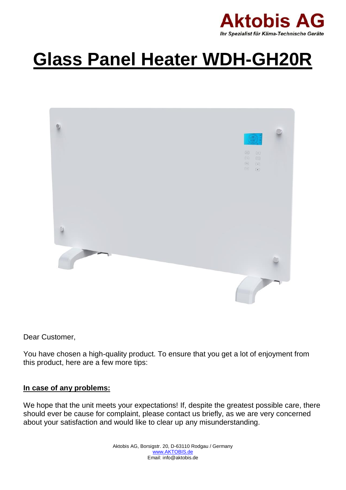

# **Glass Panel Heater WDH-GH20R**



Dear Customer,

You have chosen a high-quality product. To ensure that you get a lot of enjoyment from this product, here are a few more tips:

## **In case of any problems:**

We hope that the unit meets your expectations! If, despite the greatest possible care, there should ever be cause for complaint, please contact us briefly, as we are very concerned about your satisfaction and would like to clear up any misunderstanding.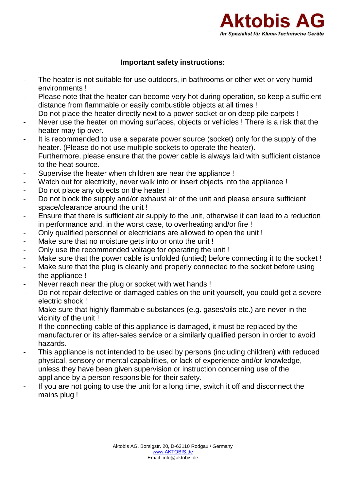

# **Important safety instructions:**

- The heater is not suitable for use outdoors, in bathrooms or other wet or very humid environments !
- Please note that the heater can become very hot during operation, so keep a sufficient distance from flammable or easily combustible objects at all times !
- Do not place the heater directly next to a power socket or on deep pile carpets !
- Never use the heater on moving surfaces, objects or vehicles ! There is a risk that the heater may tip over.
- It is recommended to use a separate power source (socket) only for the supply of the heater. (Please do not use multiple sockets to operate the heater). Furthermore, please ensure that the power cable is always laid with sufficient distance to the heat source.
- Supervise the heater when children are near the appliance !
- Watch out for electricity, never walk into or insert objects into the appliance !
- Do not place any objects on the heater !
- Do not block the supply and/or exhaust air of the unit and please ensure sufficient space/clearance around the unit !
- Ensure that there is sufficient air supply to the unit, otherwise it can lead to a reduction in performance and, in the worst case, to overheating and/or fire !
- Only qualified personnel or electricians are allowed to open the unit !
- Make sure that no moisture gets into or onto the unit !
- Only use the recommended voltage for operating the unit !
- Make sure that the power cable is unfolded (untied) before connecting it to the socket !
- Make sure that the plug is cleanly and properly connected to the socket before using the appliance !
- Never reach near the plug or socket with wet hands !
- Do not repair defective or damaged cables on the unit yourself, you could get a severe electric shock !
- Make sure that highly flammable substances (e.g. gases/oils etc.) are never in the vicinity of the unit !
- If the connecting cable of this appliance is damaged, it must be replaced by the manufacturer or its after-sales service or a similarly qualified person in order to avoid hazards.
- This appliance is not intended to be used by persons (including children) with reduced physical, sensory or mental capabilities, or lack of experience and/or knowledge, unless they have been given supervision or instruction concerning use of the appliance by a person responsible for their safety.
- If you are not going to use the unit for a long time, switch it off and disconnect the mains plug !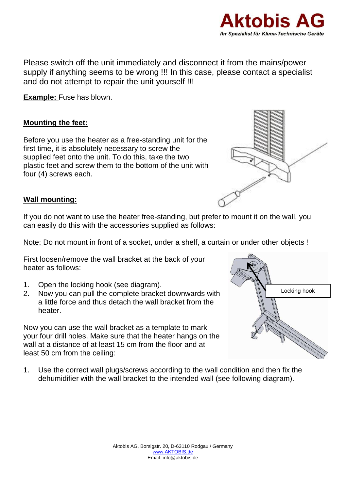

Please switch off the unit immediately and disconnect it from the mains/power supply if anything seems to be wrong !!! In this case, please contact a specialist and do not attempt to repair the unit yourself !!!

**Example:** Fuse has blown.

# **Mounting the feet:**

Before you use the heater as a free-standing unit for the first time, it is absolutely necessary to screw the supplied feet onto the unit. To do this, take the two plastic feet and screw them to the bottom of the unit with four (4) screws each.



# **Wall mounting:**

If you do not want to use the heater free-standing, but prefer to mount it on the wall, you can easily do this with the accessories supplied as follows:

Note: Do not mount in front of a socket, under a shelf, a curtain or under other objects !

First loosen/remove the wall bracket at the back of your heater as follows:

- 1. Open the locking hook (see diagram).
- 2. Now you can pull the complete bracket downwards with a little force and thus detach the wall bracket from the heater.

Now you can use the wall bracket as a template to mark your four drill holes. Make sure that the heater hangs on the wall at a distance of at least 15 cm from the floor and at least 50 cm from the ceiling:

1. Use the correct wall plugs/screws according to the wall condition and then fix the dehumidifier with the wall bracket to the intended wall (see following diagram).

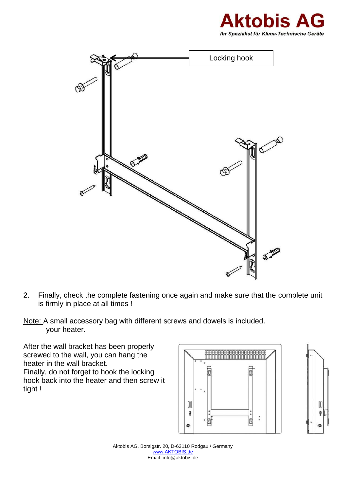



- 2. Finally, check the complete fastening once again and make sure that the complete unit is firmly in place at all times !
- Note: A small accessory bag with different screws and dowels is included. your heater.

After the wall bracket has been properly screwed to the wall, you can hang the heater in the wall bracket. Finally, do not forget to hook the locking hook back into the heater and then screw it tight !



O ę

**B** 

Aktobis AG, Borsigstr. 20, D-63110 Rodgau / Germany [www.AKTOBIS.de](http://www.aktobis.de/) Email: info@aktobis.de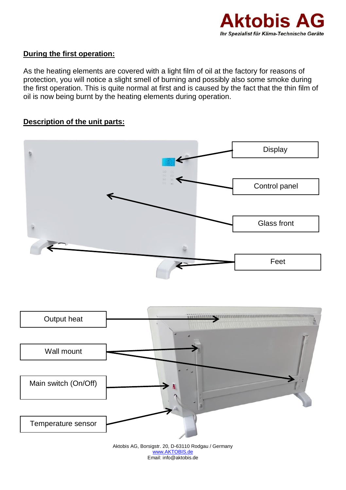

# **During the first operation:**

As the heating elements are covered with a light film of oil at the factory for reasons of protection, you will notice a slight smell of burning and possibly also some smoke during the first operation. This is quite normal at first and is caused by the fact that the thin film of oil is now being burnt by the heating elements during operation.

# **Description of the unit parts:**



[www.AKTOBIS.de](http://www.aktobis.de/) Email: info@aktobis.de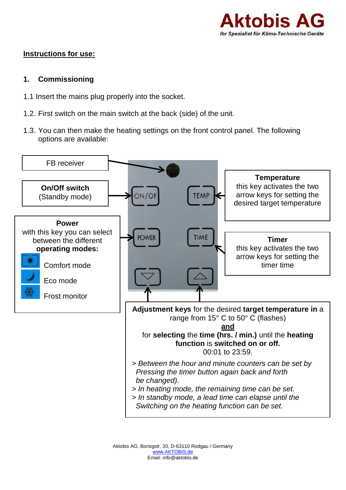

# **Instructions for use:**

## **1. Commissioning**

- 1.1 Insert the mains plug properly into the socket.
- 1.2. First switch on the main switch at the back (side) of the unit.
- 1.3. You can then make the heating settings on the front control panel. The following options are available:

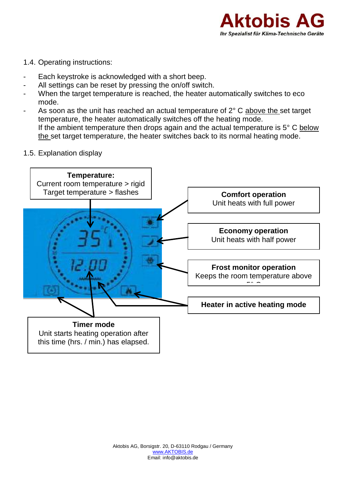

#### 1.4. Operating instructions:

- Each keystroke is acknowledged with a short beep.
- All settings can be reset by pressing the on/off switch.
- When the target temperature is reached, the heater automatically switches to eco mode.
- As soon as the unit has reached an actual temperature of  $2^{\circ}$  C above the set target temperature, the heater automatically switches off the heating mode. If the ambient temperature then drops again and the actual temperature is  $5^{\circ}$  C below the set target temperature, the heater switches back to its normal heating mode.
- 1.5. Explanation display

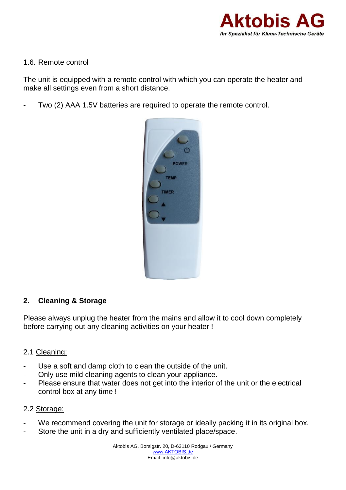

#### 1.6. Remote control

The unit is equipped with a remote control with which you can operate the heater and make all settings even from a short distance.

Two (2) AAA 1.5V batteries are required to operate the remote control.



## **2. Cleaning & Storage**

Please always unplug the heater from the mains and allow it to cool down completely before carrying out any cleaning activities on your heater !

## 2.1 Cleaning:

- Use a soft and damp cloth to clean the outside of the unit.
- Only use mild cleaning agents to clean your appliance.
- Please ensure that water does not get into the interior of the unit or the electrical control box at any time !

# 2.2 Storage:

- We recommend covering the unit for storage or ideally packing it in its original box.
- Store the unit in a dry and sufficiently ventilated place/space.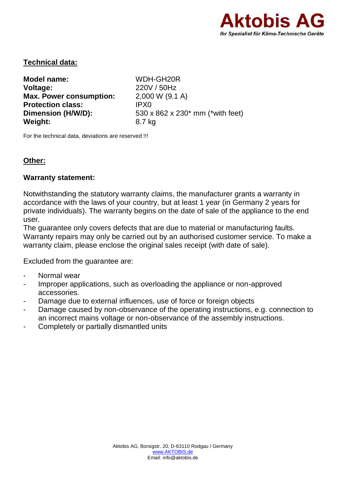

## **Technical data:**

**Model name:** WDH-GH20R **Voltage:** 220V / 50Hz<br> **Max. Power consumption:** 2.000 W (9.1 A) **Max. Power consumption: Protection class:** IPX0 **Dimension (H/W/D):** 530 x 862 x 230<sup>\*</sup> mm (\*with feet) **Weight:** 8.7 kg

For the technical data, deviations are reserved !!!

# **Other:**

#### **Warranty statement:**

Notwithstanding the statutory warranty claims, the manufacturer grants a warranty in accordance with the laws of your country, but at least 1 year (in Germany 2 years for private individuals). The warranty begins on the date of sale of the appliance to the end user.

The guarantee only covers defects that are due to material or manufacturing faults. Warranty repairs may only be carried out by an authorised customer service. To make a warranty claim, please enclose the original sales receipt (with date of sale).

Excluded from the guarantee are:

- Normal wear
- Improper applications, such as overloading the appliance or non-approved accessories.
- Damage due to external influences, use of force or foreign objects
- Damage caused by non-observance of the operating instructions, e.g. connection to an incorrect mains voltage or non-observance of the assembly instructions.
- Completely or partially dismantled units